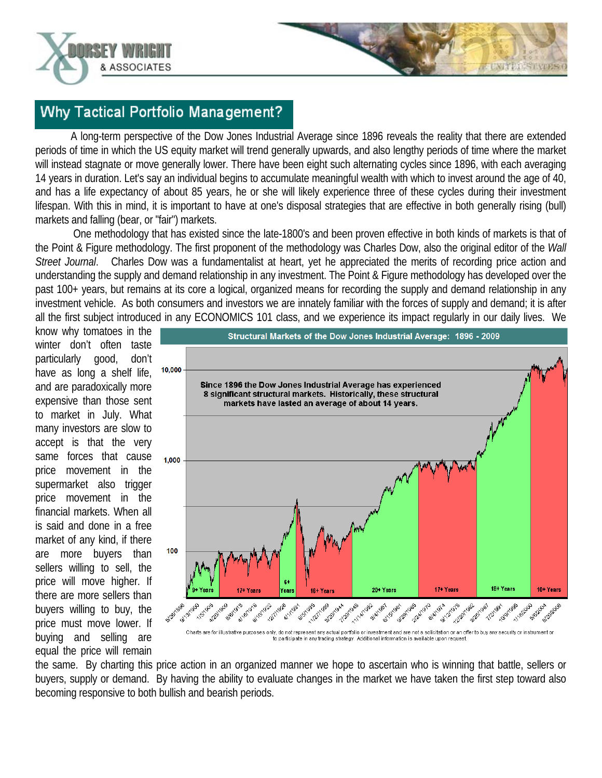



## **Why Tactical Portfolio Management?**

A long-term perspective of the Dow Jones Industrial Average since 1896 reveals the reality that there are extended periods of time in which the US equity market will trend generally upwards, and also lengthy periods of time where the market will instead stagnate or move generally lower. There have been eight such alternating cycles since 1896, with each averaging 14 years in duration. Let's say an individual begins to accumulate meaningful wealth with which to invest around the age of 40, and has a life expectancy of about 85 years, he or she will likely experience three of these cycles during their investment lifespan. With this in mind, it is important to have at one's disposal strategies that are effective in both generally rising (bull) markets and falling (bear, or "fair") markets.

One methodology that has existed since the late-1800's and been proven effective in both kinds of markets is that of the Point & Figure methodology. The first proponent of the methodology was Charles Dow, also the original editor of the *Wall Street Journal*. Charles Dow was a fundamentalist at heart, yet he appreciated the merits of recording price action and understanding the supply and demand relationship in any investment. The Point & Figure methodology has developed over the past 100+ years, but remains at its core a logical, organized means for recording the supply and demand relationship in any investment vehicle. As both consumers and investors we are innately familiar with the forces of supply and demand; it is after all the first subject introduced in any ECONOMICS 101 class, and we experience its impact regularly in our daily lives. We

know why tomatoes in the winter don't often taste particularly good, don't have as long a shelf life, and are paradoxically more expensive than those sent to market in July. What many investors are slow to accept is that the very same forces that cause price movement in the supermarket also trigger price movement in the financial markets. When all is said and done in a free market of any kind, if there are more buyers than sellers willing to sell, the price will move higher. If there are more sellers than buyers willing to buy, the price must move lower. If buying and selling are equal the price will remain



the same. By charting this price action in an organized manner we hope to ascertain who is winning that battle, sellers or buyers, supply or demand. By having the ability to evaluate changes in the market we have taken the first step toward also becoming responsive to both bullish and bearish periods.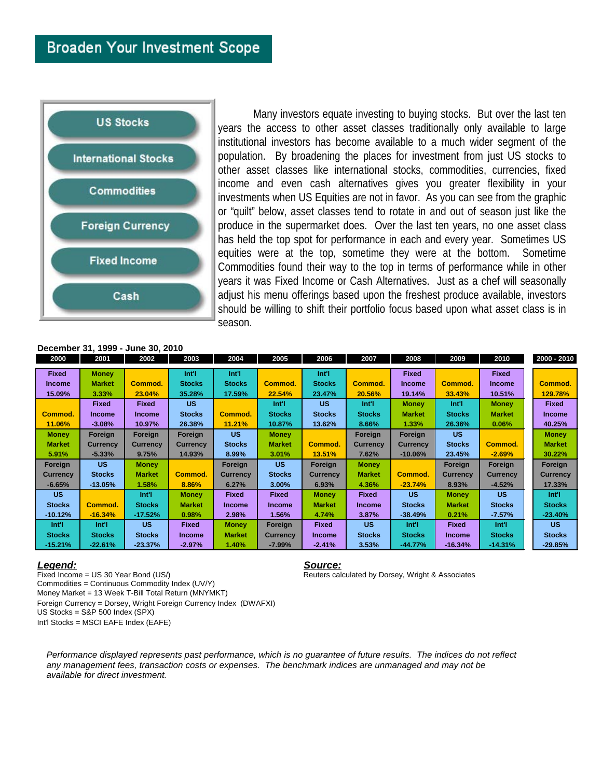

Many investors equate investing to buying stocks. But over the last ten years the access to other asset classes traditionally only available to large institutional investors has become available to a much wider segment of the population. By broadening the places for investment from just US stocks to other asset classes like international stocks, commodities, currencies, fixed income and even cash alternatives gives you greater flexibility in your investments when US Equities are not in favor. As you can see from the graphic or "quilt" below, asset classes tend to rotate in and out of season just like the produce in the supermarket does. Over the last ten years, no one asset class has held the top spot for performance in each and every year. Sometimes US equities were at the top, sometime they were at the bottom. Sometime Commodities found their way to the top in terms of performance while in other years it was Fixed Income or Cash Alternatives. Just as a chef will seasonally adjust his menu offerings based upon the freshest produce available, investors should be willing to shift their portfolio focus based upon what asset class is in season.

### **December 31, 1999 - June 30, 2010**

| 2000            | 2001            | 2002            | 2003            | 2004            | 2005            | 2006            | 2007            | 2008            | 2009            | 2010            | 2000 - 2010     |
|-----------------|-----------------|-----------------|-----------------|-----------------|-----------------|-----------------|-----------------|-----------------|-----------------|-----------------|-----------------|
| <b>Fixed</b>    | <b>Money</b>    |                 | Int'l           | Int'l           |                 | Int'l           |                 | <b>Fixed</b>    |                 | <b>Fixed</b>    |                 |
| <b>Income</b>   | <b>Market</b>   | Commod.         | <b>Stocks</b>   | <b>Stocks</b>   | Commod.         | <b>Stocks</b>   | Commod.         | <b>Income</b>   | Commod.         | <b>Income</b>   | Commod.         |
| 15.09%          | $3.33\%$        | 23.04%          | 35.28%          | 17.59%          | 22.54%          | 23.47%          | 20.56%          | 19.14%          | 33.43%          | 10.51%          | 129.78%         |
|                 | Fixed           | <b>Fixed</b>    | <b>US</b>       |                 | Int'l           | <b>US</b>       | Int'l           | <b>Money</b>    | Int'l           | <b>Money</b>    | <b>Fixed</b>    |
| Commod.         | <b>Income</b>   | <b>Income</b>   | <b>Stocks</b>   | Commod.         | <b>Stocks</b>   | <b>Stocks</b>   | <b>Stocks</b>   | <b>Market</b>   | <b>Stocks</b>   | <b>Market</b>   | <b>Income</b>   |
| 11.06%          | $-3.08%$        | 10.97%          | 26.38%          | 11.21%          | 10.87%          | 13.62%          | 8.66%           | 1.33%           | 26.36%          | 0.06%           | 40.25%          |
| <b>Money</b>    | Foreign         | Foreign         | Foreign         | <b>US</b>       | <b>Money</b>    |                 | Foreign         | Foreign         | <b>US</b>       |                 | <b>Money</b>    |
| <b>Market</b>   | <b>Currency</b> | <b>Currency</b> | <b>Currency</b> | <b>Stocks</b>   | <b>Market</b>   | Commod.         | <b>Currency</b> | <b>Currency</b> | <b>Stocks</b>   | Commod.         | <b>Market</b>   |
| 5.91%           | $-5.33%$        | 9.75%           | 14.93%          | $8.99\%$        | 3.01%           | 13.51%          | 7.62%           | $-10.06%$       | 23.45%          | $-2.69%$        | 30.22%          |
| Foreign         | <b>US</b>       | <b>Money</b>    |                 | Foreign         | <b>US</b>       | Foreign         | <b>Money</b>    |                 | Foreign         | Foreign         | Foreign         |
| <b>Currency</b> | <b>Stocks</b>   | <b>Market</b>   | <b>Commod.</b>  | <b>Currency</b> | <b>Stocks</b>   | <b>Currency</b> | <b>Market</b>   | Commod.         | <b>Currency</b> | <b>Currency</b> | <b>Currency</b> |
| $-6.65%$        | $-13.05%$       | 1.58%           | 8.86%           | 6.27%           | 3.00%           | 6.93%           | 4.36%           | $-23.74%$       | 8.93%           | $-4.52%$        | 17.33%          |
| <b>US</b>       |                 | Int'l           | <b>Money</b>    | <b>Fixed</b>    | <b>Fixed</b>    | <b>Money</b>    | <b>Fixed</b>    | <b>US</b>       | <b>Money</b>    | <b>US</b>       | Int'l           |
| <b>Stocks</b>   | Commod.         | <b>Stocks</b>   | <b>Market</b>   | <b>Income</b>   | <b>Income</b>   | <b>Market</b>   | <b>Income</b>   | <b>Stocks</b>   | <b>Market</b>   | <b>Stocks</b>   | <b>Stocks</b>   |
| -10.12%         | $-16.34%$       | $-17.52%$       | 0.98%           | 2.98%           | 1.56%           | 4.74%           | 3.87%           | $-38.49%$       | 0.21%           | $-7.57%$        | $-23.40%$       |
| Int'l           | Int'l           | <b>US</b>       | <b>Fixed</b>    | <b>Money</b>    | Foreign         | <b>Fixed</b>    | US.             | Int'l           | <b>Fixed</b>    | Int'l           | <b>US</b>       |
| <b>Stocks</b>   | <b>Stocks</b>   | <b>Stocks</b>   | <b>Income</b>   | <b>Market</b>   | <b>Currency</b> | <b>Income</b>   | <b>Stocks</b>   | <b>Stocks</b>   | <b>Income</b>   | <b>Stocks</b>   | <b>Stocks</b>   |
| -15.21%         | $-22.61%$       | $-23.37%$       | $-2.97%$        | 1.40%           | $-7.99%$        | $-2.41%$        | 3.53%           | $-44.77%$       | $-16.34%$       | $-14.31%$       | $-29.85%$       |

*Legend: Source:* Commodities = Continuous Commodity Index (UV/Y) Money Market = 13 Week T-Bill Total Return (MNYMKT) Foreign Currency = Dorsey, Wright Foreign Currency Index (DWAFXI) US Stocks = S&P 500 Index (SPX) Int'l Stocks = MSCI EAFE Index (EAFE)

Reuters calculated by Dorsey, Wright & Associates

 *Performance displayed represents past performance, which is no guarantee of future results. The indices do not reflect any management fees, transaction costs or expenses. The benchmark indices are unmanaged and may not be available for direct investment.*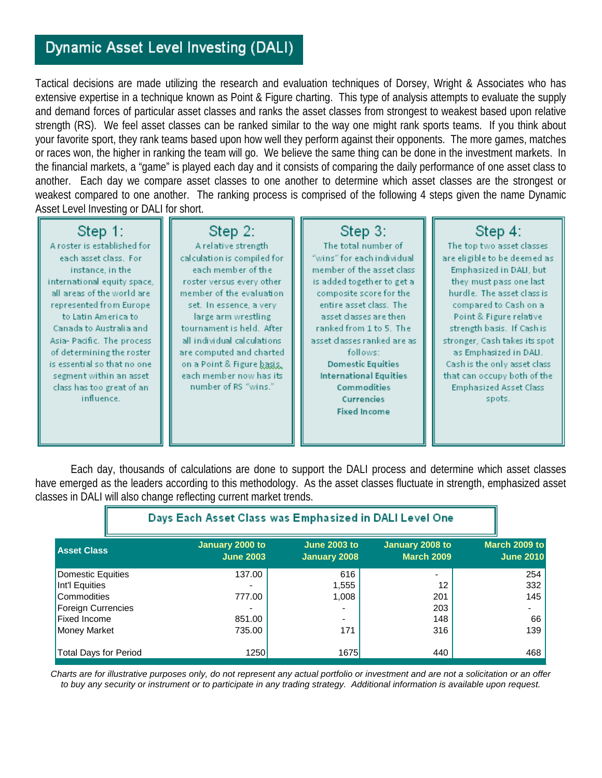# Dynamic Asset Level Investing (DALI)

Tactical decisions are made utilizing the research and evaluation techniques of Dorsey, Wright & Associates who has extensive expertise in a technique known as Point & Figure charting. This type of analysis attempts to evaluate the supply and demand forces of particular asset classes and ranks the asset classes from strongest to weakest based upon relative strength (RS). We feel asset classes can be ranked similar to the way one might rank sports teams. If you think about your favorite sport, they rank teams based upon how well they perform against their opponents. The more games, matches or races won, the higher in ranking the team will go. We believe the same thing can be done in the investment markets. In the financial markets, a "game" is played each day and it consists of comparing the daily performance of one asset class to another. Each day we compare asset classes to one another to determine which asset classes are the strongest or weakest compared to one another. The ranking process is comprised of the following 4 steps given the name Dynamic Asset Level Investing or DALI for short.

# Step 1:

A roster is established for each asset class. For instance, in the international equity space, all areas of the world are represented from Europe to Latin America to Canada to Australia and Asia- Pacific. The process of determining the roster is essential so that no one segment within an asset class has too great of an influence.

Step 2: A relative strength calculation is compiled for each member of the roster versus every other member of the evaluation set. In essence, a very large arm wrestling tournament is held. After all individual calculations are computed and charted on a Point & Figure basis. each member now has its number of RS "wins."

 $Step 3$ : The total number of "wins" for each individual member of the asset class is added together to get a composite score for the entire asset class. The asset classes are then ranked from 1 to 5. The asset classes ranked are as follows: **Domestic Equities International Equities** Commodities **Currencies Fixed Income** 

## Step 4: The top two asset classes are eligible to be deemed as Emphasized in DALI, but they must pass one last hurdle. The asset class is compared to Cash on a Point & Figure relative strength basis. If Cash is stronger, Cash takes its spot as Emphasized in DALI. Cash is the only asset class that can occupy both of the **Emphasized Asset Class** spots.

Each day, thousands of calculations are done to support the DALI process and determine which asset classes have emerged as the leaders according to this methodology. As the asset classes fluctuate in strength, emphasized asset classes in DALI will also change reflecting current market trends.

| Days Each Asset Class was Emphasized in DALI Level One |                                     |                                     |                                      |                                   |  |  |
|--------------------------------------------------------|-------------------------------------|-------------------------------------|--------------------------------------|-----------------------------------|--|--|
| <b>Asset Class</b>                                     | January 2000 to<br><b>June 2003</b> | <b>June 2003 to</b><br>January 2008 | January 2008 to<br><b>March 2009</b> | March 2009 to<br><b>June 2010</b> |  |  |
| <b>Domestic Equities</b>                               | 137.00                              | 616                                 |                                      | 254                               |  |  |
| Int'l Equities                                         |                                     | 1,555                               | 12                                   | 332                               |  |  |
| Commodities                                            | 777.00                              | 1,008                               | 201                                  | 145                               |  |  |
| Foreign Currencies                                     |                                     |                                     | 203                                  |                                   |  |  |
| <b>Fixed Income</b>                                    | 851.00                              | $\overline{\phantom{0}}$            | 148                                  | 66                                |  |  |
| <b>Money Market</b>                                    | 735.00                              | 171                                 | 316                                  | 139                               |  |  |
| <b>Total Days for Period</b>                           | 1250                                | 1675                                | 440                                  | 468                               |  |  |

*Charts are for illustrative purposes only, do not represent any actual portfolio or investment and are not a solicitation or an offer to buy any security or instrument or to participate in any trading strategy. Additional information is available upon request.*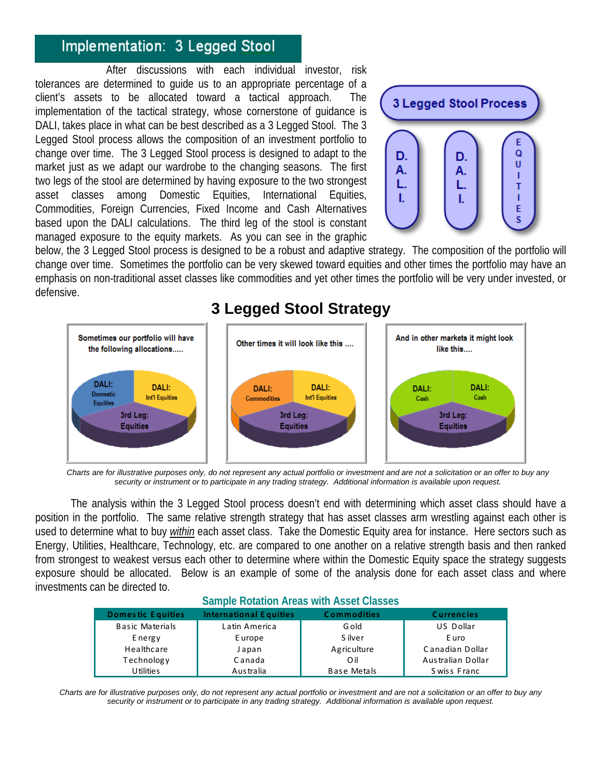# Implementation: 3 Legged Stool

After discussions with each individual investor, risk tolerances are determined to quide us to an appropriate percentage of a client's assets to be allocated toward a tactical approach. The implementation of the tactical strategy, whose cornerstone of quidance is DALI, takes place in what can be best described as a 3 Legged Stool. The 3 Legged Stool process allows the composition of an investment portfolio to change over time. The 3 Legged Stool process is designed to adapt to the market just as we adapt our wardrobe to the changing seasons. The first two legs of the stool are determined by having exposure to the two strongest asset classes among Domestic Equities, International Equities, Commodities, Foreign Currencies, Fixed Income and Cash Alternatives based upon the DALI calculations. The third leg of the stool is constant managed exposure to the equity markets. As you can see in the graphic



below, the 3 Legged Stool process is designed to be a robust and adaptive strategy. The composition of the portfolio will change over time. Sometimes the portfolio can be very skewed toward equities and other times the portfolio may have an emphasis on non-traditional asset classes like commodities and yet other times the portfolio will be very under invested, or defensive.



Charts are for illustrative purposes only, do not represent any actual portfolio or investment and are not a solicitation or an offer to buy any security or instrument or to participate in any trading strategy. Additional information is available upon request.

The analysis within the 3 Legged Stool process doesn't end with determining which asset class should have a position in the portfolio. The same relative strength strategy that has asset classes arm wrestling against each other is used to determine what to buy within each asset class. Take the Domestic Equity area for instance. Here sectors such as Energy, Utilities, Healthcare, Technology, etc. are compared to one another on a relative strength basis and then ranked from strongest to weakest versus each other to determine where within the Domestic Equity space the strategy suggests exposure should be allocated. Below is an example of some of the analysis done for each asset class and where investments can be directed to.

| Sallible Ruiauuli Aleas Willi Asset Classes |                               |                    |                   |  |  |  |  |
|---------------------------------------------|-------------------------------|--------------------|-------------------|--|--|--|--|
| <b>Domestic Equities</b>                    | <b>International Equities</b> | <b>Commodities</b> | <b>Currencies</b> |  |  |  |  |
| <b>Basic Materials</b>                      | Latin America                 | G old              | US Dollar         |  |  |  |  |
| Energy                                      | E urope                       | S ilver            | E uro             |  |  |  |  |
| Healthcare                                  | Japan                         | Agriculture        | Canadian Dollar   |  |  |  |  |
| Technology                                  | Canada                        | Oil                | Australian Dollar |  |  |  |  |
| <b>Utilities</b>                            | Australia                     | Base Metals        | Swiss Franc       |  |  |  |  |

Comple Detation Areae with Accet Cleases

Charts are for illustrative purposes only, do not represent any actual portfolio or investment and are not a solicitation or an offer to buy any security or instrument or to participate in any trading strategy. Additional information is available upon request.